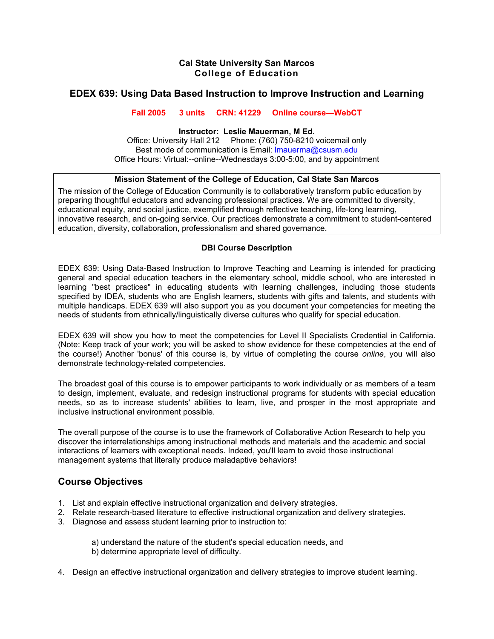## **Cal State University San Marcos College of Education**

# **EDEX 639: Using Data Based Instruction to Improve Instruction and Learning**

### **Fall 2005 3 units CRN: 41229 Online course—WebCT**

#### **Instructor: Leslie Mauerman, M Ed.**

Office: University Hall 212 Phone: (760) 750-8210 voicemail only Best mode of communication is Email: lmauerma@csusm.edu Office Hours: Virtual:--online--Wednesdays 3:00-5:00, and by appointment

## **Mission Statement of the College of Education, Cal State San Marcos**

The mission of the College of Education Community is to collaboratively transform public education by preparing thoughtful educators and advancing professional practices. We are committed to diversity, educational equity, and social justice, exemplified through reflective teaching, life-long learning, innovative research, and on-going service. Our practices demonstrate a commitment to student-centered education, diversity, collaboration, professionalism and shared governance.

### **DBI Course Description**

EDEX 639: Using Data-Based Instruction to Improve Teaching and Learning is intended for practicing general and special education teachers in the elementary school, middle school, who are interested in learning "best practices" in educating students with learning challenges, including those students specified by IDEA, students who are English learners, students with gifts and talents, and students with multiple handicaps. EDEX 639 will also support you as you document your competencies for meeting the needs of students from ethnically/linguistically diverse cultures who qualify for special education.

EDEX 639 will show you how to meet the competencies for Level II Specialists Credential in California. (Note: Keep track of your work; you will be asked to show evidence for these competencies at the end of the course!) Another 'bonus' of this course is, by virtue of completing the course *online*, you will also demonstrate technology-related competencies.

The broadest goal of this course is to empower participants to work individually or as members of a team to design, implement, evaluate, and redesign instructional programs for students with special education needs, so as to increase students' abilities to learn, live, and prosper in the most appropriate and inclusive instructional environment possible.

The overall purpose of the course is to use the framework of Collaborative Action Research to help you discover the interrelationships among instructional methods and materials and the academic and social interactions of learners with exceptional needs. Indeed, you'll learn to avoid those instructional management systems that literally produce maladaptive behaviors!

# **Course Objectives**

- 1. List and explain effective instructional organization and delivery strategies.
- 2. Relate research-based literature to effective instructional organization and delivery strategies.
- 3. Diagnose and assess student learning prior to instruction to:

 a) understand the nature of the student's special education needs, and b) determine appropriate level of difficulty.

4. Design an effective instructional organization and delivery strategies to improve student learning.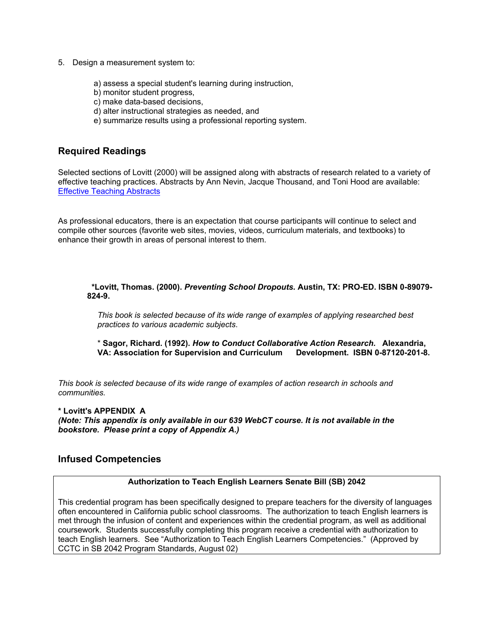- 5. Design a measurement system to:
	- a) assess a special student's learning during instruction,
	- b) monitor student progress,
	- c) make data-based decisions,
	- d) alter instructional strategies as needed, and
	- e) summarize results using a professional reporting system.

## **Required Readings**

Selected sections of Lovitt (2000) will be assigned along with abstracts of research related to a variety of effective teaching practices. Abstracts by Ann Nevin, Jacque Thousand, and Toni Hood are available: Effective Teaching Abstracts

As professional educators, there is an expectation that course participants will continue to select and compile other sources (favorite web sites, movies, videos, curriculum materials, and textbooks) to enhance their growth in areas of personal interest to them.

 **\*Lovitt, Thomas. (2000).** *Preventing School Dropouts.* **Austin, TX: PRO-ED. ISBN 0-89079- 824-9.** 

*This book is selected because of its wide range of examples of applying researched best practices to various academic subjects*.

\* **Sagor, Richard. (1992).** *How to Conduct Collaborative Action Research.* **Alexandria, VA: Association for Supervision and Curriculum Development. ISBN 0-87120-201-8.** 

*This book is selected because of its wide range of examples of action research in schools and communities.* 

#### **\* Lovitt's APPENDIX A**

*(Note: This appendix is only available in our 639 WebCT course. It is not available in the bookstore. Please print a copy of Appendix A.)*

## **Infused Competencies**

#### **Authorization to Teach English Learners Senate Bill (SB) 2042**

This credential program has been specifically designed to prepare teachers for the diversity of languages often encountered in California public school classrooms. The authorization to teach English learners is met through the infusion of content and experiences within the credential program, as well as additional coursework. Students successfully completing this program receive a credential with authorization to teach English learners. See "Authorization to Teach English Learners Competencies." (Approved by CCTC in SB 2042 Program Standards, August 02)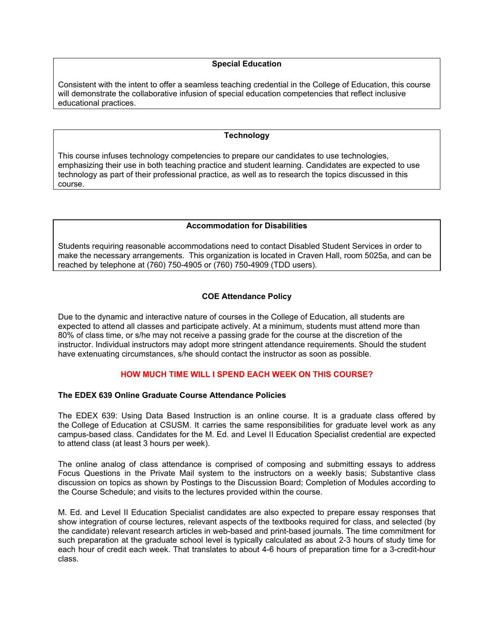#### **Special Education**

Consistent with the intent to offer a seamless teaching credential in the College of Education, this course will demonstrate the collaborative infusion of special education competencies that reflect inclusive educational practices.

#### **Technology**

This course infuses technology competencies to prepare our candidates to use technologies, emphasizing their use in both teaching practice and student learning. Candidates are expected to use technology as part of their professional practice, as well as to research the topics discussed in this course.

#### **Accommodation for Disabilities**

Students requiring reasonable accommodations need to contact Disabled Student Services in order to make the necessary arrangements. This organization is located in Craven Hall, room 5025a, and can be reached by telephone at (760) 750-4905 or (760) 750-4909 (TDD users).

#### **COE Attendance Policy**

Due to the dynamic and interactive nature of courses in the College of Education, all students are expected to attend all classes and participate actively. At a minimum, students must attend more than 80% of class time, or s/he may not receive a passing grade for the course at the discretion of the instructor. Individual instructors may adopt more stringent attendance requirements. Should the student have extenuating circumstances, s/he should contact the instructor as soon as possible.

#### **HOW MUCH TIME WILL I SPEND EACH WEEK ON THIS COURSE?**

#### **The EDEX 639 Online Graduate Course Attendance Policies**

The EDEX 639: Using Data Based Instruction is an online course. It is a graduate class offered by the College of Education at CSUSM. It carries the same responsibilities for graduate level work as any campus-based class. Candidates for the M. Ed. and Level II Education Specialist credential are expected to attend class (at least 3 hours per week).

The online analog of class attendance is comprised of composing and submitting essays to address Focus Questions in the Private Mail system to the instructors on a weekly basis; Substantive class discussion on topics as shown by Postings to the Discussion Board; Completion of Modules according to the Course Schedule; and visits to the lectures provided within the course.

M. Ed. and Level II Education Specialist candidates are also expected to prepare essay responses that show integration of course lectures, relevant aspects of the textbooks required for class, and selected (by the candidate) relevant research articles in web-based and print-based journals. The time commitment for such preparation at the graduate school level is typically calculated as about 2-3 hours of study time for each hour of credit each week. That translates to about 4-6 hours of preparation time for a 3-credit-hour class.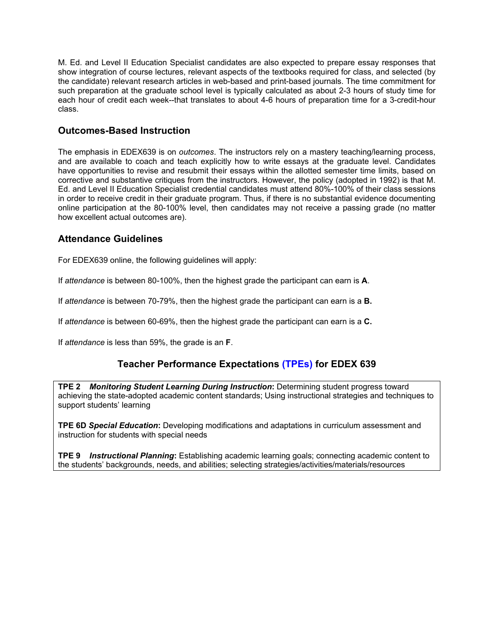M. Ed. and Level II Education Specialist candidates are also expected to prepare essay responses that show integration of course lectures, relevant aspects of the textbooks required for class, and selected (by the candidate) relevant research articles in web-based and print-based journals. The time commitment for such preparation at the graduate school level is typically calculated as about 2-3 hours of study time for each hour of credit each week--that translates to about 4-6 hours of preparation time for a 3-credit-hour class.

# **Outcomes-Based Instruction**

The emphasis in EDEX639 is on *outcomes*. The instructors rely on a mastery teaching/learning process, and are available to coach and teach explicitly how to write essays at the graduate level. Candidates have opportunities to revise and resubmit their essays within the allotted semester time limits, based on corrective and substantive critiques from the instructors. However, the policy (adopted in 1992) is that M. Ed. and Level II Education Specialist credential candidates must attend 80%-100% of their class sessions in order to receive credit in their graduate program. Thus, if there is no substantial evidence documenting online participation at the 80-100% level, then candidates may not receive a passing grade (no matter how excellent actual outcomes are).

# **Attendance Guidelines**

For EDEX639 online, the following guidelines will apply:

If *attendance* is between 80-100%, then the highest grade the participant can earn is **A**.

If *attendance* is between 70-79%, then the highest grade the participant can earn is a **B.**

If *attendance* is between 60-69%, then the highest grade the participant can earn is a **C.**

If *attendance* is less than 59%, the grade is an **F**.

# **Teacher Performance Expectations (TPEs) for EDEX 639**

**TPE 2** *Monitoring Student Learning During Instruction***:** Determining student progress toward achieving the state-adopted academic content standards; Using instructional strategies and techniques to support students' learning

**TPE 6D** *Special Education***:** Developing modifications and adaptations in curriculum assessment and instruction for students with special needs

**TPE 9** *Instructional Planning***:** Establishing academic learning goals; connecting academic content to the students' backgrounds, needs, and abilities; selecting strategies/activities/materials/resources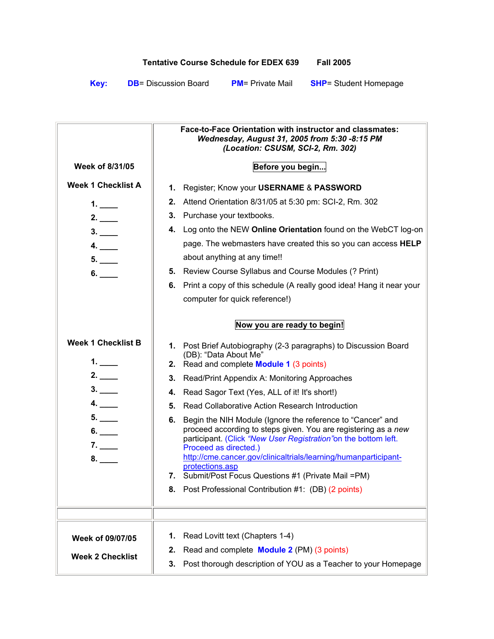# **Tentative Course Schedule for EDEX 639 Fall 2005**

**Key: DB**= Discussion Board **PM**= Private Mail **SHP**= Student Homepage

|                                 | <b>Face-to-Face Orientation with instructor and classmates:</b><br>Wednesday, August 31, 2005 from 5:30 -8:15 PM<br>(Location: CSUSM, SCI-2, Rm. 302)                                                                                                                                                                                                                         |
|---------------------------------|-------------------------------------------------------------------------------------------------------------------------------------------------------------------------------------------------------------------------------------------------------------------------------------------------------------------------------------------------------------------------------|
| <b>Week of 8/31/05</b>          | Before you begin                                                                                                                                                                                                                                                                                                                                                              |
| <b>Week 1 Checklist A</b>       | 1. Register; Know your USERNAME & PASSWORD                                                                                                                                                                                                                                                                                                                                    |
| 1. $\qquad$                     | 2. Attend Orientation 8/31/05 at 5:30 pm: SCI-2, Rm. 302                                                                                                                                                                                                                                                                                                                      |
| 2.                              | 3. Purchase your textbooks.                                                                                                                                                                                                                                                                                                                                                   |
| 3.                              | 4. Log onto the NEW Online Orientation found on the WebCT log-on                                                                                                                                                                                                                                                                                                              |
| 4.                              | page. The webmasters have created this so you can access HELP<br>about anything at any time!!                                                                                                                                                                                                                                                                                 |
| 6.                              | 5. Review Course Syllabus and Course Modules (? Print)                                                                                                                                                                                                                                                                                                                        |
|                                 | 6. Print a copy of this schedule (A really good idea! Hang it near your                                                                                                                                                                                                                                                                                                       |
|                                 | computer for quick reference!)                                                                                                                                                                                                                                                                                                                                                |
|                                 | Now you are ready to begin!                                                                                                                                                                                                                                                                                                                                                   |
|                                 |                                                                                                                                                                                                                                                                                                                                                                               |
| <b>Week 1 Checklist B</b><br>1. | 1. Post Brief Autobiography (2-3 paragraphs) to Discussion Board<br>(DB): "Data About Me"<br>2. Read and complete <b>Module 1</b> (3 points)                                                                                                                                                                                                                                  |
| 2.                              | Read/Print Appendix A: Monitoring Approaches<br>3.                                                                                                                                                                                                                                                                                                                            |
| 3.                              | 4. Read Sagor Text (Yes, ALL of it! It's short!)                                                                                                                                                                                                                                                                                                                              |
| 4.                              | 5. Read Collaborative Action Research Introduction                                                                                                                                                                                                                                                                                                                            |
| 5.<br>6.<br>7.<br>8.            | Begin the NIH Module (Ignore the reference to "Cancer" and<br>6.<br>proceed according to steps given. You are registering as a new<br>participant. (Click "New User Registration" on the bottom left.<br>Proceed as directed.)<br>http://cme.cancer.gov/clinicaltrials/learning/humanparticipant-<br>protections.asp<br>7. Submit/Post Focus Questions #1 (Private Mail = PM) |
|                                 | 8. Post Professional Contribution #1: (DB) (2 points)                                                                                                                                                                                                                                                                                                                         |
|                                 |                                                                                                                                                                                                                                                                                                                                                                               |
|                                 |                                                                                                                                                                                                                                                                                                                                                                               |
| Week of 09/07/05                | Read Lovitt text (Chapters 1-4)<br>1.                                                                                                                                                                                                                                                                                                                                         |
|                                 | Read and complete <b>Module 2</b> (PM) (3 points)<br>2.                                                                                                                                                                                                                                                                                                                       |
| <b>Week 2 Checklist</b>         | Post thorough description of YOU as a Teacher to your Homepage<br>3.                                                                                                                                                                                                                                                                                                          |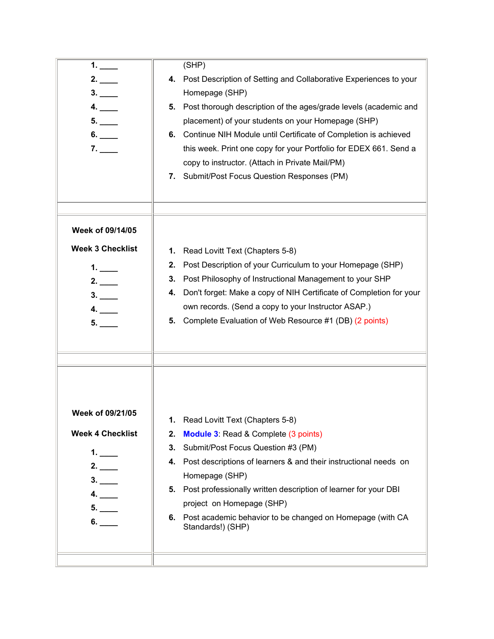| 1.<br>2.<br>4.<br>5.<br>6.<br>7.                                          | (SHP)<br>4. Post Description of Setting and Collaborative Experiences to your<br>Homepage (SHP)<br>Post thorough description of the ages/grade levels (academic and<br>5.<br>placement) of your students on your Homepage (SHP)<br>6. Continue NIH Module until Certificate of Completion is achieved<br>this week. Print one copy for your Portfolio for EDEX 661. Send a<br>copy to instructor. (Attach in Private Mail/PM)<br>7. Submit/Post Focus Question Responses (PM) |
|---------------------------------------------------------------------------|-------------------------------------------------------------------------------------------------------------------------------------------------------------------------------------------------------------------------------------------------------------------------------------------------------------------------------------------------------------------------------------------------------------------------------------------------------------------------------|
| Week of 09/14/05<br><b>Week 3 Checklist</b><br>1.<br>2.<br>3.<br>4.<br>5. | Read Lovitt Text (Chapters 5-8)<br>1.<br>Post Description of your Curriculum to your Homepage (SHP)<br>2.<br>Post Philosophy of Instructional Management to your SHP<br>3.<br>Don't forget: Make a copy of NIH Certificate of Completion for your<br>4.<br>own records. (Send a copy to your Instructor ASAP.)<br>5. Complete Evaluation of Web Resource #1 (DB) (2 points)                                                                                                   |
| Week of 09/21/05<br><b>Week 4 Checklist</b><br>1. $\_\_$<br>4.<br>6.      | Read Lovitt Text (Chapters 5-8)<br><b>Module 3: Read &amp; Complete (3 points)</b><br>2.<br>Submit/Post Focus Question #3 (PM)<br>3.<br>Post descriptions of learners & and their instructional needs on<br>4.<br>Homepage (SHP)<br>Post professionally written description of learner for your DBI<br>5.<br>project on Homepage (SHP)<br>6. Post academic behavior to be changed on Homepage (with CA<br>Standards!) (SHP)                                                   |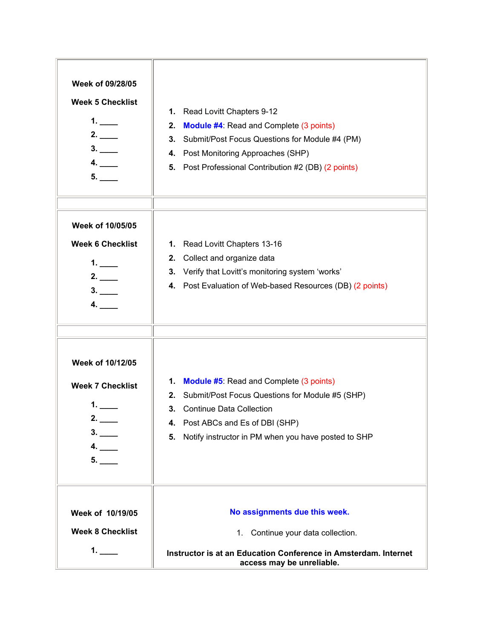| Week of 09/28/05                            |                                                                                              |
|---------------------------------------------|----------------------------------------------------------------------------------------------|
| <b>Week 5 Checklist</b>                     |                                                                                              |
| 1.                                          | 1. Read Lovitt Chapters 9-12                                                                 |
| 2.                                          | <b>Module #4: Read and Complete (3 points)</b><br>2.                                         |
| 3.                                          | 3. Submit/Post Focus Questions for Module #4 (PM)                                            |
| 4.                                          | 4. Post Monitoring Approaches (SHP)                                                          |
| 5.                                          | 5. Post Professional Contribution #2 (DB) (2 points)                                         |
|                                             |                                                                                              |
| Week of 10/05/05<br><b>Week 6 Checklist</b> | 1. Read Lovitt Chapters 13-16                                                                |
|                                             | 2. Collect and organize data                                                                 |
| 1.                                          | 3. Verify that Lovitt's monitoring system 'works'                                            |
| 2.<br>3.                                    | 4. Post Evaluation of Web-based Resources (DB) (2 points)                                    |
| 4.                                          |                                                                                              |
|                                             |                                                                                              |
| Week of 10/12/05                            |                                                                                              |
| <b>Week 7 Checklist</b>                     | 1. Module #5: Read and Complete (3 points)                                                   |
|                                             | 2. Submit/Post Focus Questions for Module #5 (SHP)                                           |
|                                             | 3. Continue Data Collection                                                                  |
| 3.                                          | 4. Post ABCs and Es of DBI (SHP)                                                             |
| 4.                                          | Notify instructor in PM when you have posted to SHP<br>5.                                    |
| 5.                                          |                                                                                              |
|                                             |                                                                                              |
|                                             |                                                                                              |
| Week of 10/19/05                            | No assignments due this week.                                                                |
| <b>Week 8 Checklist</b>                     | 1. Continue your data collection.                                                            |
| 1. $\_\_$                                   | Instructor is at an Education Conference in Amsterdam. Internet<br>access may be unreliable. |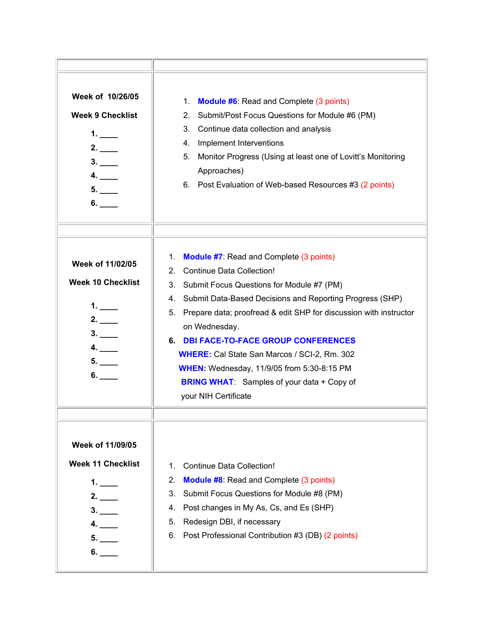| Week of 10/26/05<br><b>Week 9 Checklist</b><br>1. $\_\_$<br>2.<br>3.<br>4.<br>5.<br>6. | 1.<br><b>Module #6:</b> Read and Complete (3 points)<br>Submit/Post Focus Questions for Module #6 (PM)<br>2.<br>3.<br>Continue data collection and analysis<br>Implement Interventions<br>4.<br>5.<br>Monitor Progress (Using at least one of Lovitt's Monitoring<br>Approaches)<br>6. Post Evaluation of Web-based Resources #3 (2 points)                                                                                                                                                                                       |
|----------------------------------------------------------------------------------------|-----------------------------------------------------------------------------------------------------------------------------------------------------------------------------------------------------------------------------------------------------------------------------------------------------------------------------------------------------------------------------------------------------------------------------------------------------------------------------------------------------------------------------------|
| Week of 11/02/05<br><b>Week 10 Checklist</b><br>1.<br>2.<br>3.<br>4.<br>5.<br>6.       | <b>Module #7:</b> Read and Complete (3 points)<br>1.<br>2. Continue Data Collection!<br>3. Submit Focus Questions for Module #7 (PM)<br>4. Submit Data-Based Decisions and Reporting Progress (SHP)<br>Prepare data; proofread & edit SHP for discussion with instructor<br>5.<br>on Wednesday.<br>6. DBI FACE-TO-FACE GROUP CONFERENCES<br><b>WHERE:</b> Cal State San Marcos / SCI-2, Rm. 302<br><b>WHEN:</b> Wednesday, 11/9/05 from 5:30-8:15 PM<br><b>BRING WHAT:</b> Samples of your data + Copy of<br>your NIH Certificate |
| Week of 11/09/05<br><b>Week 11 Checklist</b><br>1.<br>2.<br>4.<br>5.                   | Continue Data Collection!<br>1.<br><b>Module #8:</b> Read and Complete (3 points)<br>2.<br>Submit Focus Questions for Module #8 (PM)<br>3.<br>Post changes in My As, Cs, and Es (SHP)<br>4.<br>Redesign DBI, if necessary<br>5.<br>Post Professional Contribution #3 (DB) (2 points)<br>6.                                                                                                                                                                                                                                        |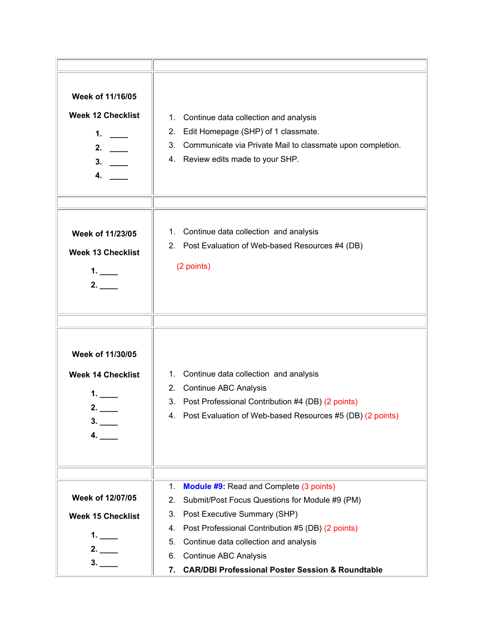| Week of 11/16/05<br><b>Week 12 Checklist</b><br>1.<br>2. $\qquad$<br>3. | Continue data collection and analysis<br>1.<br>Edit Homepage (SHP) of 1 classmate.<br>2.<br>Communicate via Private Mail to classmate upon completion.<br>3.<br>4. Review edits made to your SHP.                                                                                                                                                                       |
|-------------------------------------------------------------------------|-------------------------------------------------------------------------------------------------------------------------------------------------------------------------------------------------------------------------------------------------------------------------------------------------------------------------------------------------------------------------|
| Week of 11/23/05<br><b>Week 13 Checklist</b><br>1.<br>2.                | 1. Continue data collection and analysis<br>2. Post Evaluation of Web-based Resources #4 (DB)<br>(2 points)                                                                                                                                                                                                                                                             |
| Week of 11/30/05<br><b>Week 14 Checklist</b><br>1.<br>2.<br>4.          | Continue data collection and analysis<br>1.<br><b>Continue ABC Analysis</b><br>2.<br>3. Post Professional Contribution #4 (DB) (2 points)<br>Post Evaluation of Web-based Resources #5 (DB) (2 points)<br>4.                                                                                                                                                            |
| Week of 12/07/05<br><b>Week 15 Checklist</b><br>1.<br>2.<br>3.          | <b>Module #9:</b> Read and Complete (3 points)<br>1.<br>Submit/Post Focus Questions for Module #9 (PM)<br>2.<br>Post Executive Summary (SHP)<br>3.<br>Post Professional Contribution #5 (DB) (2 points)<br>4.<br>Continue data collection and analysis<br>5.<br><b>Continue ABC Analysis</b><br>6.<br><b>CAR/DBI Professional Poster Session &amp; Roundtable</b><br>7. |